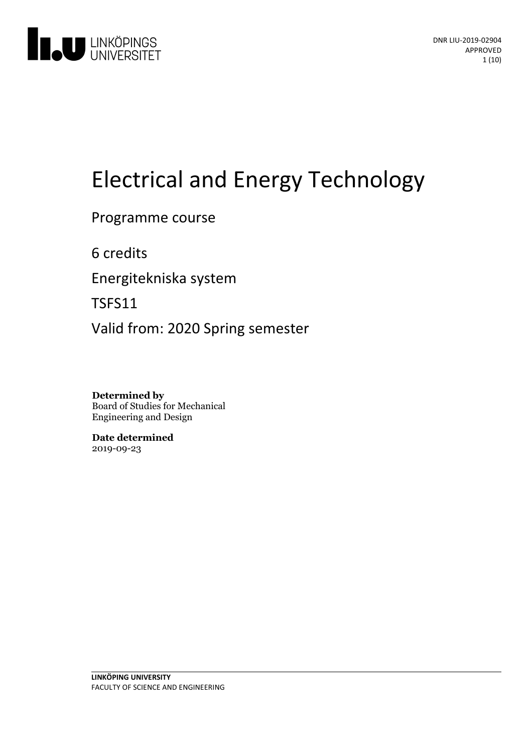

# Electrical and Energy Technology

Programme course

6 credits

Energitekniska system

TSFS11

Valid from: 2020 Spring semester

**Determined by** Board of Studies for Mechanical Engineering and Design

**Date determined** 2019-09-23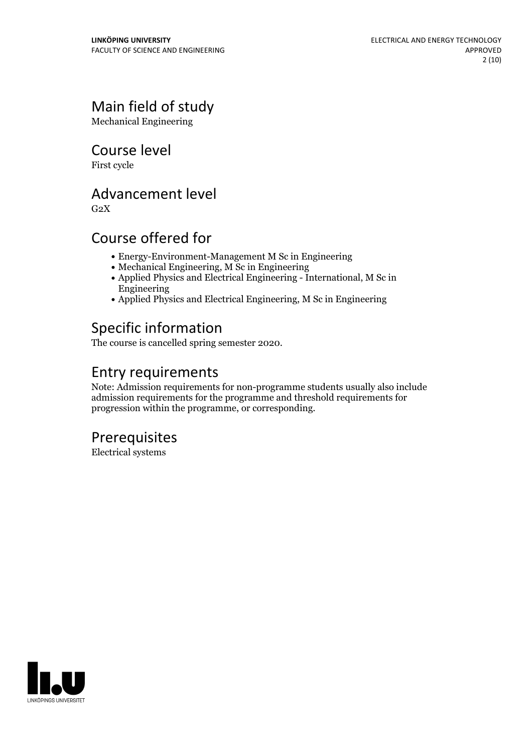# Main field of study

Mechanical Engineering

Course level

First cycle

# Advancement level

 $G<sub>2</sub>X$ 

# Course offered for

- Energy-Environment-Management M Sc in Engineering
- Mechanical Engineering, M Sc in Engineering
- Applied Physics and Electrical Engineering International, M Sc in Engineering
- Applied Physics and Electrical Engineering, M Sc in Engineering

# Specific information

The course is cancelled spring semester 2020.

# Entry requirements

Note: Admission requirements for non-programme students usually also include admission requirements for the programme and threshold requirements for progression within the programme, or corresponding.

# **Prerequisites**

Electrical systems

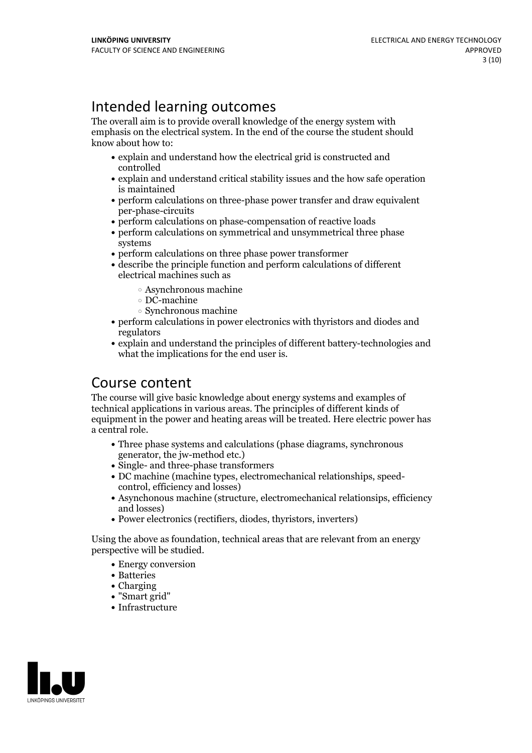# Intended learning outcomes

The overall aim is to provide overall knowledge of the energy system with emphasis on the electrical system. In the end of the course the student should know about how to:

- explain and understand how the electrical grid is constructed and controlled
- explain and understand critical stability issues and the how safe operation is maintained
- perform calculations on three-phase power transfer and draw equivalent per-phase-circuits
- perform calculations on phase-compensation of reactive loads
- perform calculations on symmetrical and unsymmetrical three phase systems
- perform calculations on three phase power transformer
- describe the principle function and perform calculations of different electrical machines such as
	- Asynchronous machine
	- DC-machine
	- Synchronous machine
- perform calculations in power electronics with thyristors and diodes and regulators
- explain and understand the principles of different battery-technologies and what the implications for the end user is.

# Course content

The course will give basic knowledge about energy systems and examples of technical applications in various areas. The principles of different kinds of equipment in the power and heating areas will be treated. Here electric power has a central role.

- Three phase systems and calculations (phase diagrams, synchronous generator, the jw-method etc.)
- Single- and three-phase transformers
- DC machine (machine types, electromechanical relationships, speed- control, efficiency and losses)
- Asynchonous machine (structure, electromechanical relationsips, efficiency and losses)
- Power electronics (rectifiers, diodes, thyristors, inverters)

Using the above as foundation, technical areas that are relevant from an energy perspective will be studied.

- Energy conversion
- Batteries
- Charging
- "Smart grid"
- Infrastructure

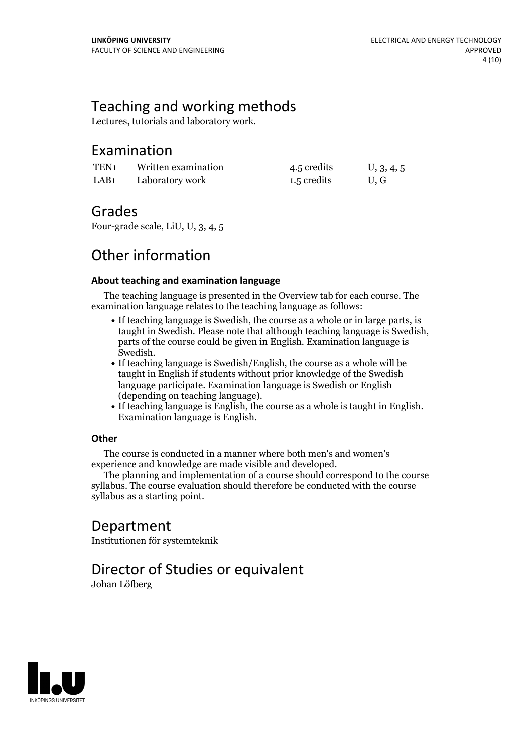# Teaching and working methods

Lectures, tutorials and laboratory work.

# Examination

| TEN <sub>1</sub> | Written examination | 4.5 credits | U, 3, 4, 5 |
|------------------|---------------------|-------------|------------|
| LAB <sub>1</sub> | Laboratory work     | 1.5 credits | U.G        |

# Grades

Four-grade scale, LiU, U, 3, 4, 5

# Other information

### **About teaching and examination language**

The teaching language is presented in the Overview tab for each course. The examination language relates to the teaching language as follows:

- If teaching language is Swedish, the course as a whole or in large parts, is taught in Swedish. Please note that although teaching language is Swedish, parts of the course could be given in English. Examination language is
- If teaching language is Swedish/English, the course as a whole will be taught in English if students without prior knowledge of the Swedish language participate. Examination language is Swedish or English
- $\bullet$  If teaching language is English, the course as a whole is taught in English. Examination language is English.

### **Other**

The course is conducted in a manner where both men's and women's

The planning and implementation of a course should correspond to the course syllabus. The course evaluation should therefore be conducted with the course syllabus as a starting point.

## Department

Institutionen för systemteknik

# Director of Studies or equivalent

Johan Löfberg

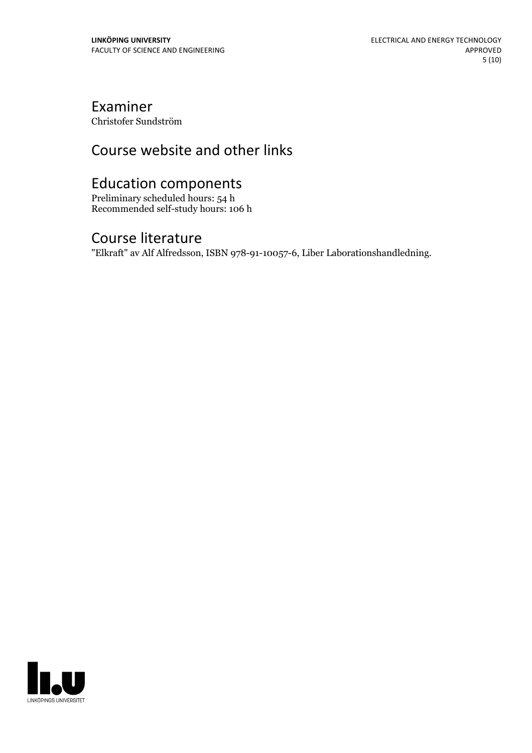# Examiner

Christofer Sundström

# Course website and other links

# Education components

Preliminary scheduled hours: 54 h Recommended self-study hours: 106 h

### Course literature

"Elkraft" av Alf Alfredsson, ISBN 978-91-10057-6, Liber Laborationshandledning.

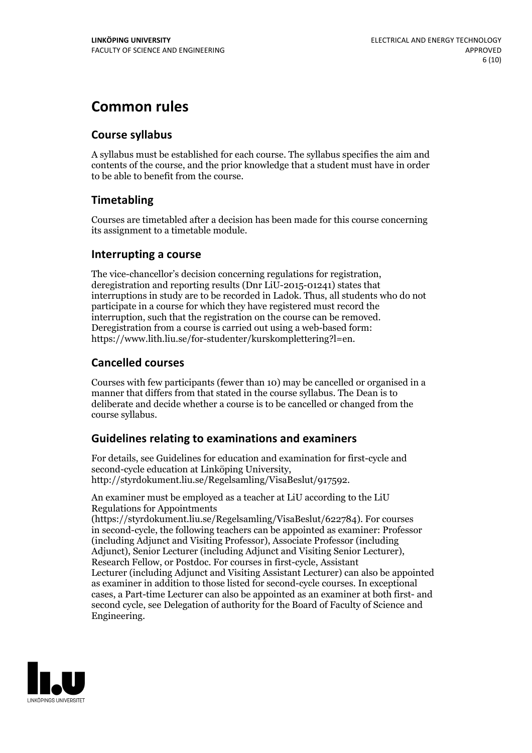# **Common rules**

### **Course syllabus**

A syllabus must be established for each course. The syllabus specifies the aim and contents of the course, and the prior knowledge that a student must have in order to be able to benefit from the course.

### **Timetabling**

Courses are timetabled after a decision has been made for this course concerning its assignment to a timetable module.

### **Interrupting a course**

The vice-chancellor's decision concerning regulations for registration, deregistration and reporting results (Dnr LiU-2015-01241) states that interruptions in study are to be recorded in Ladok. Thus, all students who do not participate in a course for which they have registered must record the interruption, such that the registration on the course can be removed. Deregistration from <sup>a</sup> course is carried outusing <sup>a</sup> web-based form: https://www.lith.liu.se/for-studenter/kurskomplettering?l=en.

### **Cancelled courses**

Courses with few participants (fewer than 10) may be cancelled or organised in a manner that differs from that stated in the course syllabus. The Dean is to deliberate and decide whether a course is to be cancelled or changed from the course syllabus.

### **Guidelines relatingto examinations and examiners**

For details, see Guidelines for education and examination for first-cycle and second-cycle education at Linköping University, http://styrdokument.liu.se/Regelsamling/VisaBeslut/917592.

An examiner must be employed as a teacher at LiU according to the LiU Regulations for Appointments

(https://styrdokument.liu.se/Regelsamling/VisaBeslut/622784). For courses in second-cycle, the following teachers can be appointed as examiner: Professor (including Adjunct and Visiting Professor), Associate Professor (including Adjunct), Senior Lecturer (including Adjunct and Visiting Senior Lecturer), Research Fellow, or Postdoc. For courses in first-cycle, Assistant Lecturer (including Adjunct and Visiting Assistant Lecturer) can also be appointed as examiner in addition to those listed for second-cycle courses. In exceptional cases, a Part-time Lecturer can also be appointed as an examiner at both first- and second cycle, see Delegation of authority for the Board of Faculty of Science and Engineering.

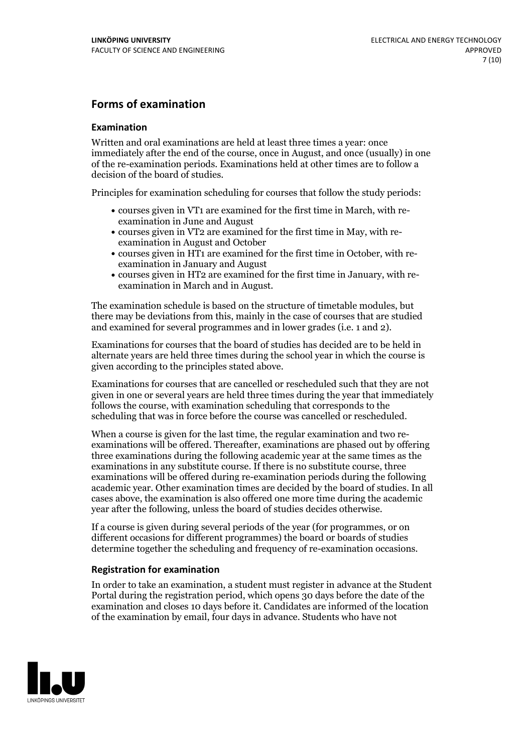### **Forms of examination**

#### **Examination**

Written and oral examinations are held at least three times a year: once immediately after the end of the course, once in August, and once (usually) in one of the re-examination periods. Examinations held at other times are to follow a decision of the board of studies.

Principles for examination scheduling for courses that follow the study periods:

- courses given in VT1 are examined for the first time in March, with re-examination in June and August
- courses given in VT2 are examined for the first time in May, with re-examination in August and October
- courses given in HT1 are examined for the first time in October, with re-examination in January and August
- courses given in HT2 are examined for the first time in January, with re-examination in March and in August.

The examination schedule is based on the structure of timetable modules, but there may be deviations from this, mainly in the case of courses that are studied and examined for several programmes and in lower grades (i.e. 1 and 2).

Examinations for courses that the board of studies has decided are to be held in alternate years are held three times during the school year in which the course is given according to the principles stated above.

Examinations for courses that are cancelled orrescheduled such that they are not given in one or several years are held three times during the year that immediately follows the course, with examination scheduling that corresponds to the scheduling that was in force before the course was cancelled or rescheduled.

When a course is given for the last time, the regular examination and two re-<br>examinations will be offered. Thereafter, examinations are phased out by offering three examinations during the following academic year at the same times as the examinations in any substitute course. If there is no substitute course, three examinations will be offered during re-examination periods during the following academic year. Other examination times are decided by the board of studies. In all cases above, the examination is also offered one more time during the academic year after the following, unless the board of studies decides otherwise.

If a course is given during several periods of the year (for programmes, or on different occasions for different programmes) the board or boards of studies determine together the scheduling and frequency of re-examination occasions.

#### **Registration for examination**

In order to take an examination, a student must register in advance at the Student Portal during the registration period, which opens 30 days before the date of the examination and closes 10 days before it. Candidates are informed of the location of the examination by email, four days in advance. Students who have not

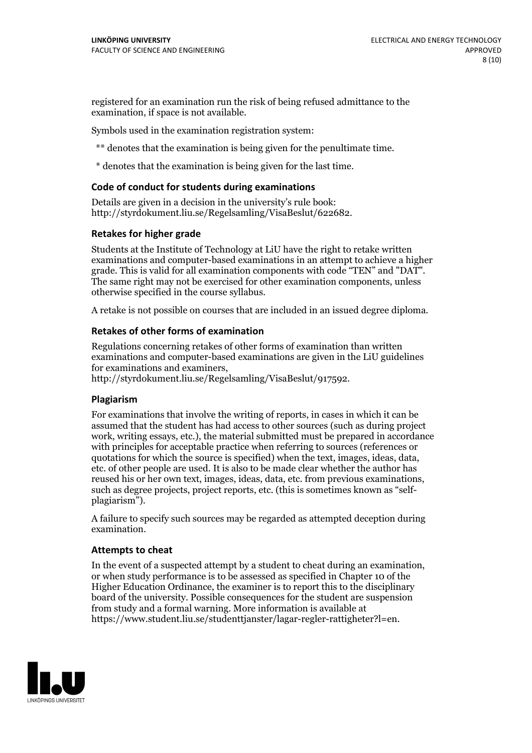registered for an examination run the risk of being refused admittance to the examination, if space is not available.

Symbols used in the examination registration system:

\*\* denotes that the examination is being given for the penultimate time.

\* denotes that the examination is being given for the last time.

#### **Code of conduct for students during examinations**

Details are given in a decision in the university's rule book: http://styrdokument.liu.se/Regelsamling/VisaBeslut/622682.

#### **Retakes for higher grade**

Students at the Institute of Technology at LiU have the right to retake written examinations and computer-based examinations in an attempt to achieve a higher grade. This is valid for all examination components with code "TEN" and "DAT". The same right may not be exercised for other examination components, unless otherwise specified in the course syllabus.

A retake is not possible on courses that are included in an issued degree diploma.

#### **Retakes of other forms of examination**

Regulations concerning retakes of other forms of examination than written examinations and computer-based examinations are given in the LiU guidelines

http://styrdokument.liu.se/Regelsamling/VisaBeslut/917592.

#### **Plagiarism**

For examinations that involve the writing of reports, in cases in which it can be assumed that the student has had access to other sources (such as during project work, writing essays, etc.), the material submitted must be prepared in accordance with principles for acceptable practice when referring to sources (references or quotations for which the source is specified) when the text, images, ideas, data,  $\vec{e}$  etc. of other people are used. It is also to be made clear whether the author has reused his or her own text, images, ideas, data, etc. from previous examinations, such as degree projects, project reports, etc. (this is sometimes known as "self- plagiarism").

A failure to specify such sources may be regarded as attempted deception during examination.

#### **Attempts to cheat**

In the event of <sup>a</sup> suspected attempt by <sup>a</sup> student to cheat during an examination, or when study performance is to be assessed as specified in Chapter <sup>10</sup> of the Higher Education Ordinance, the examiner is to report this to the disciplinary board of the university. Possible consequences for the student are suspension from study and a formal warning. More information is available at https://www.student.liu.se/studenttjanster/lagar-regler-rattigheter?l=en.

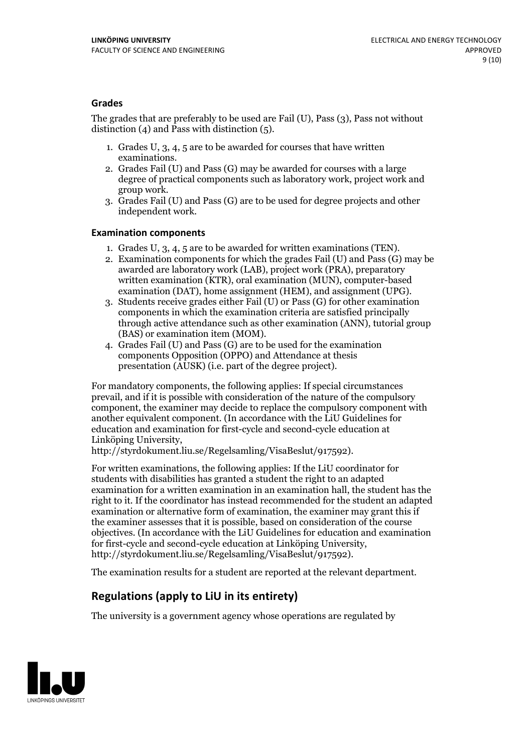#### **Grades**

The grades that are preferably to be used are Fail (U), Pass (3), Pass not without distinction  $(4)$  and Pass with distinction  $(5)$ .

- 1. Grades U, 3, 4, 5 are to be awarded for courses that have written
- examinations. 2. Grades Fail (U) and Pass (G) may be awarded for courses with <sup>a</sup> large degree of practical components such as laboratory work, project work and group work. 3. Grades Fail (U) and Pass (G) are to be used for degree projects and other
- independent work.

#### **Examination components**

- 
- 1. Grades U, 3, 4, <sup>5</sup> are to be awarded for written examinations (TEN). 2. Examination components for which the grades Fail (U) and Pass (G) may be awarded are laboratory work (LAB), project work (PRA), preparatory written examination (KTR), oral examination (MUN), computer-based
- examination (DAT), home assignment (HEM), and assignment (UPG). 3. Students receive grades either Fail (U) or Pass (G) for other examination components in which the examination criteria are satisfied principally through active attendance such as other examination (ANN), tutorial group (BAS) or examination item (MOM). 4. Grades Fail (U) and Pass (G) are to be used for the examination
- components Opposition (OPPO) and Attendance at thesis presentation (AUSK) (i.e. part of the degree project).

For mandatory components, the following applies: If special circumstances prevail, and if it is possible with consideration of the nature of the compulsory component, the examiner may decide to replace the compulsory component with another equivalent component. (In accordance with the LiU Guidelines for education and examination for first-cycle and second-cycle education at Linköping University, http://styrdokument.liu.se/Regelsamling/VisaBeslut/917592).

For written examinations, the following applies: If the LiU coordinator for students with disabilities has granted a student the right to an adapted examination for a written examination in an examination hall, the student has the right to it. If the coordinator has instead recommended for the student an adapted examination or alternative form of examination, the examiner may grant this if the examiner assesses that it is possible, based on consideration of the course objectives. (In accordance with the LiU Guidelines for education and examination for first-cycle and second-cycle education at Linköping University, http://styrdokument.liu.se/Regelsamling/VisaBeslut/917592).

The examination results for a student are reported at the relevant department.

### **Regulations (applyto LiU in its entirety)**

The university is a government agency whose operations are regulated by